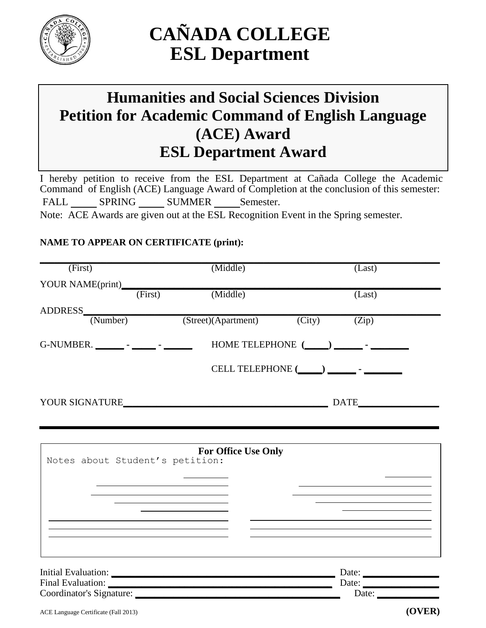

# **CAÑADA COLLEGE ESL Department**

## **Humanities and Social Sciences Division Petition for Academic Command of English Language (ACE) Award ESL Department Award**

I hereby petition to receive from the ESL Department at Cañada College the Academic Command of English (ACE) Language Award of Completion at the conclusion of this semester: FALL SPRING SUMMER Semester.

Note: ACE Awards are given out at the ESL Recognition Event in the Spring semester.

#### **NAME TO APPEAR ON CERTIFICATE (print):**

| (First)                                                             | (Middle)                   | (Last)                                                                     |  |
|---------------------------------------------------------------------|----------------------------|----------------------------------------------------------------------------|--|
|                                                                     |                            |                                                                            |  |
| YOUR NAME(print)<br>(First)                                         | (Middle)                   | (Last)                                                                     |  |
|                                                                     |                            |                                                                            |  |
| ADDRESS (Number)                                                    | (Street)(Apartment)        | $\overline{(City)}$<br>$\overline{(Zip)}$                                  |  |
| G-NUMBER. ________ - ______ - ______                                |                            |                                                                            |  |
|                                                                     |                            | CELL TELEPHONE (____) _________-                                           |  |
|                                                                     |                            | <b>DATE</b>                                                                |  |
|                                                                     |                            |                                                                            |  |
|                                                                     |                            |                                                                            |  |
| Notes about Student's petition:                                     | <b>For Office Use Only</b> |                                                                            |  |
|                                                                     |                            |                                                                            |  |
|                                                                     |                            | the control of the control of the control of the control of the control of |  |
|                                                                     |                            |                                                                            |  |
|                                                                     |                            |                                                                            |  |
|                                                                     |                            |                                                                            |  |
|                                                                     |                            |                                                                            |  |
|                                                                     |                            | Date: $\qquad \qquad$                                                      |  |
|                                                                     |                            | Date:                                                                      |  |
| Coordinator's Signature: Management of the Coordinator's Signature: |                            | Date: $\frac{1}{\sqrt{1-\frac{1}{2}}\cdot\frac{1}{2}}$                     |  |
| ACE Language Certificate (Fall 2013)                                |                            | (OVER)                                                                     |  |